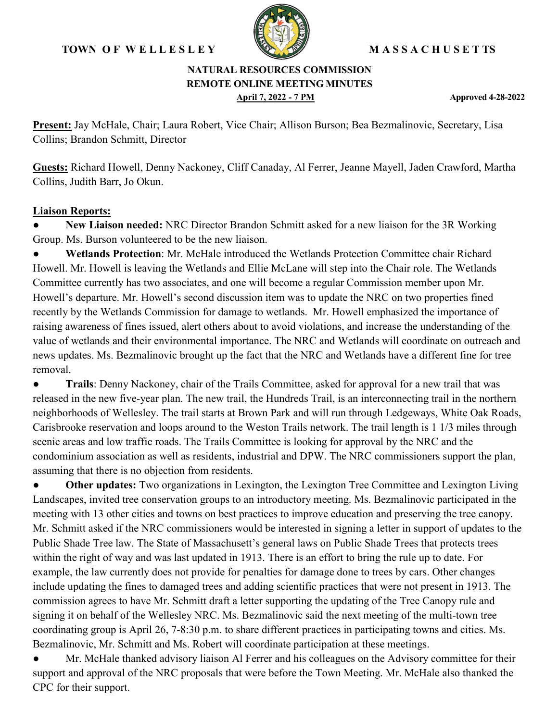### **TOWN O F W E L L E S L E Y M A S S A C H U S E T TS**



#### **NATURAL RESOURCES COMMISSION REMOTE ONLINE MEETING MINUTES April 7, 2022 - 7 PM Approved 4-28-2022**

**Present:** Jay McHale, Chair; Laura Robert, Vice Chair; Allison Burson; Bea Bezmalinovic, Secretary, Lisa Collins; Brandon Schmitt, Director

**Guests:** Richard Howell, Denny Nackoney, Cliff Canaday, Al Ferrer, Jeanne Mayell, Jaden Crawford, Martha Collins, Judith Barr, Jo Okun.

#### **Liaison Reports:**

**• New Liaison needed:** NRC Director Brandon Schmitt asked for a new liaison for the 3R Working Group. Ms. Burson volunteered to be the new liaison.

● **Wetlands Protection**: Mr. McHale introduced the Wetlands Protection Committee chair Richard Howell. Mr. Howell is leaving the Wetlands and Ellie McLane will step into the Chair role. The Wetlands Committee currently has two associates, and one will become a regular Commission member upon Mr. Howell's departure. Mr. Howell's second discussion item was to update the NRC on two properties fined recently by the Wetlands Commission for damage to wetlands. Mr. Howell emphasized the importance of raising awareness of fines issued, alert others about to avoid violations, and increase the understanding of the value of wetlands and their environmental importance. The NRC and Wetlands will coordinate on outreach and news updates. Ms. Bezmalinovic brought up the fact that the NRC and Wetlands have a different fine for tree removal.

● **Trails**: Denny Nackoney, chair of the Trails Committee, asked for approval for a new trail that was released in the new five-year plan. The new trail, the Hundreds Trail, is an interconnecting trail in the northern neighborhoods of Wellesley. The trail starts at Brown Park and will run through Ledgeways, White Oak Roads, Carisbrooke reservation and loops around to the Weston Trails network. The trail length is 1 1/3 miles through scenic areas and low traffic roads. The Trails Committee is looking for approval by the NRC and the condominium association as well as residents, industrial and DPW. The NRC commissioners support the plan, assuming that there is no objection from residents.

**Other updates:** Two organizations in Lexington, the Lexington Tree Committee and Lexington Living Landscapes, invited tree conservation groups to an introductory meeting. Ms. Bezmalinovic participated in the meeting with 13 other cities and towns on best practices to improve education and preserving the tree canopy. Mr. Schmitt asked if the NRC commissioners would be interested in signing a letter in support of updates to the Public Shade Tree law. The State of Massachusett's general laws on Public Shade Trees that protects trees within the right of way and was last updated in 1913. There is an effort to bring the rule up to date. For example, the law currently does not provide for penalties for damage done to trees by cars. Other changes include updating the fines to damaged trees and adding scientific practices that were not present in 1913. The commission agrees to have Mr. Schmitt draft a letter supporting the updating of the Tree Canopy rule and signing it on behalf of the Wellesley NRC. Ms. Bezmalinovic said the next meeting of the multi-town tree coordinating group is April 26, 7-8:30 p.m. to share different practices in participating towns and cities. Ms. Bezmalinovic, Mr. Schmitt and Ms. Robert will coordinate participation at these meetings.

Mr. McHale thanked advisory liaison Al Ferrer and his colleagues on the Advisory committee for their support and approval of the NRC proposals that were before the Town Meeting. Mr. McHale also thanked the CPC for their support.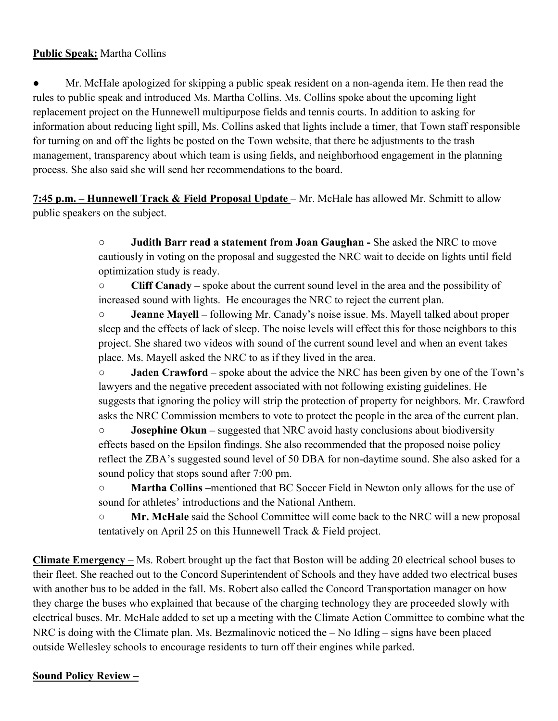## **Public Speak:** Martha Collins

● Mr. McHale apologized for skipping a public speak resident on a non-agenda item. He then read the rules to public speak and introduced Ms. Martha Collins. Ms. Collins spoke about the upcoming light replacement project on the Hunnewell multipurpose fields and tennis courts. In addition to asking for information about reducing light spill, Ms. Collins asked that lights include a timer, that Town staff responsible for turning on and off the lights be posted on the Town website, that there be adjustments to the trash management, transparency about which team is using fields, and neighborhood engagement in the planning process. She also said she will send her recommendations to the board.

**7:45 p.m. – Hunnewell Track & Field Proposal Update** – Mr. McHale has allowed Mr. Schmitt to allow public speakers on the subject.

> ○ **Judith Barr read a statement from Joan Gaughan -** She asked the NRC to move cautiously in voting on the proposal and suggested the NRC wait to decide on lights until field optimization study is ready.

○ **Cliff Canady –** spoke about the current sound level in the area and the possibility of increased sound with lights. He encourages the NRC to reject the current plan.

○ **Jeanne Mayell –** following Mr. Canady's noise issue. Ms. Mayell talked about proper sleep and the effects of lack of sleep. The noise levels will effect this for those neighbors to this project. She shared two videos with sound of the current sound level and when an event takes place. Ms. Mayell asked the NRC to as if they lived in the area.

○ **Jaden Crawford** – spoke about the advice the NRC has been given by one of the Town's lawyers and the negative precedent associated with not following existing guidelines. He suggests that ignoring the policy will strip the protection of property for neighbors. Mr. Crawford asks the NRC Commission members to vote to protect the people in the area of the current plan.

○ **Josephine Okun –** suggested that NRC avoid hasty conclusions about biodiversity effects based on the Epsilon findings. She also recommended that the proposed noise policy reflect the ZBA's suggested sound level of 50 DBA for non-daytime sound. She also asked for a sound policy that stops sound after 7:00 pm.

○ **Martha Collins –**mentioned that BC Soccer Field in Newton only allows for the use of sound for athletes' introductions and the National Anthem.

○ **Mr. McHale** said the School Committee will come back to the NRC will a new proposal tentatively on April 25 on this Hunnewell Track & Field project.

**Climate Emergency** – Ms. Robert brought up the fact that Boston will be adding 20 electrical school buses to their fleet. She reached out to the Concord Superintendent of Schools and they have added two electrical buses with another bus to be added in the fall. Ms. Robert also called the Concord Transportation manager on how they charge the buses who explained that because of the charging technology they are proceeded slowly with electrical buses. Mr. McHale added to set up a meeting with the Climate Action Committee to combine what the NRC is doing with the Climate plan. Ms. Bezmalinovic noticed the – No Idling – signs have been placed outside Wellesley schools to encourage residents to turn off their engines while parked.

### **Sound Policy Review –**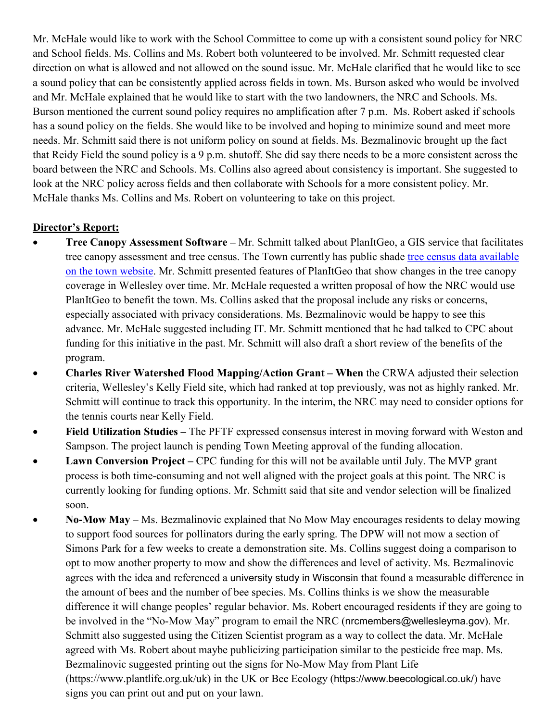Mr. McHale would like to work with the School Committee to come up with a consistent sound policy for NRC and School fields. Ms. Collins and Ms. Robert both volunteered to be involved. Mr. Schmitt requested clear direction on what is allowed and not allowed on the sound issue. Mr. McHale clarified that he would like to see a sound policy that can be consistently applied across fields in town. Ms. Burson asked who would be involved and Mr. McHale explained that he would like to start with the two landowners, the NRC and Schools. Ms. Burson mentioned the current sound policy requires no amplification after 7 p.m. Ms. Robert asked if schools has a sound policy on the fields. She would like to be involved and hoping to minimize sound and meet more needs. Mr. Schmitt said there is not uniform policy on sound at fields. Ms. Bezmalinovic brought up the fact that Reidy Field the sound policy is a 9 p.m. shutoff. She did say there needs to be a more consistent across the board between the NRC and Schools. Ms. Collins also agreed about consistency is important. She suggested to look at the NRC policy across fields and then collaborate with Schools for a more consistent policy. Mr. McHale thanks Ms. Collins and Ms. Robert on volunteering to take on this project.

# **Director's Report:**

- **Tree Canopy Assessment Software –** Mr. Schmitt talked about PlanItGeo, a GIS service that facilitates tree canopy assessment and tree census. The Town currently has public shade [tree census data available](https://wellesleyma.maps.arcgis.com/apps/webappviewer/index.html?id=fbd1257dc1f8444299424d12df00d1b2)  [on the town website.](https://wellesleyma.maps.arcgis.com/apps/webappviewer/index.html?id=fbd1257dc1f8444299424d12df00d1b2) Mr. Schmitt presented features of PlanItGeo that show changes in the tree canopy coverage in Wellesley over time. Mr. McHale requested a written proposal of how the NRC would use PlanItGeo to benefit the town. Ms. Collins asked that the proposal include any risks or concerns, especially associated with privacy considerations. Ms. Bezmalinovic would be happy to see this advance. Mr. McHale suggested including IT. Mr. Schmitt mentioned that he had talked to CPC about funding for this initiative in the past. Mr. Schmitt will also draft a short review of the benefits of the program.
- **Charles River Watershed Flood Mapping/Action Grant – When** the CRWA adjusted their selection criteria, Wellesley's Kelly Field site, which had ranked at top previously, was not as highly ranked. Mr. Schmitt will continue to track this opportunity. In the interim, the NRC may need to consider options for the tennis courts near Kelly Field.
- **Field Utilization Studies –** The PFTF expressed consensus interest in moving forward with Weston and Sampson. The project launch is pending Town Meeting approval of the funding allocation.
- **Lawn Conversion Project** CPC funding for this will not be available until July. The MVP grant process is both time-consuming and not well aligned with the project goals at this point. The NRC is currently looking for funding options. Mr. Schmitt said that site and vendor selection will be finalized soon.
- **No-Mow May** Ms. Bezmalinovic explained that No Mow May encourages residents to delay mowing to support food sources for pollinators during the early spring. The DPW will not mow a section of Simons Park for a few weeks to create a demonstration site. Ms. Collins suggest doing a comparison to opt to mow another property to mow and show the differences and level of activity. Ms. Bezmalinovic agrees with the idea and referenced a [university study in Wisconsi](https://linktr.ee/NoMowMay)n that found a measurable difference in the amount of bees and the number of bee species. Ms. Collins thinks is we show the measurable difference it will change peoples' regular behavior. Ms. Robert encouraged residents if they are going to be involved in the "No-Mow May" program to email the NRC ([nrcmembers@wellesleyma.gov](mailto:nrcmembers@wellesleyma.gov)). Mr. Schmitt also suggested using the Citizen Scientist program as a way to collect the data. Mr. McHale agreed with Ms. Robert about maybe publicizing participation similar to the pesticide free map. Ms. Bezmalinovic suggested printing out the signs for No-Mow May from Plant Life (https://www.plantlife.org.uk/uk) in the UK or Bee Ecology (<https://www.beecological.co.uk/>) have signs you can print out and put on your lawn.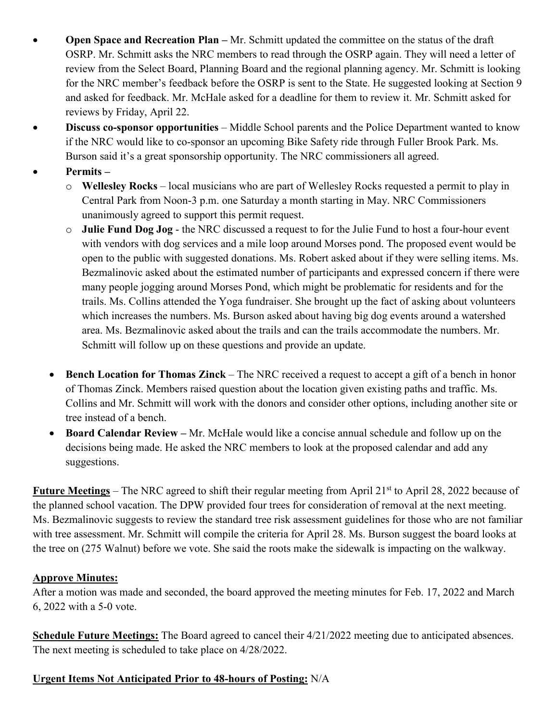- **Open Space and Recreation Plan –** Mr. Schmitt updated the committee on the status of the draft OSRP. Mr. Schmitt asks the NRC members to read through the OSRP again. They will need a letter of review from the Select Board, Planning Board and the regional planning agency. Mr. Schmitt is looking for the NRC member's feedback before the OSRP is sent to the State. He suggested looking at Section 9 and asked for feedback. Mr. McHale asked for a deadline for them to review it. Mr. Schmitt asked for reviews by Friday, April 22.
- **Discuss co-sponsor opportunities**  Middle School parents and the Police Department wanted to know if the NRC would like to co-sponsor an upcoming Bike Safety ride through Fuller Brook Park. Ms. Burson said it's a great sponsorship opportunity. The NRC commissioners all agreed.

# • **Permits –**

- o **Wellesley Rocks** local musicians who are part of Wellesley Rocks requested a permit to play in Central Park from Noon-3 p.m. one Saturday a month starting in May. NRC Commissioners unanimously agreed to support this permit request.
- o **Julie Fund Dog Jog** the NRC discussed a request to for the Julie Fund to host a four-hour event with vendors with dog services and a mile loop around Morses pond. The proposed event would be open to the public with suggested donations. Ms. Robert asked about if they were selling items. Ms. Bezmalinovic asked about the estimated number of participants and expressed concern if there were many people jogging around Morses Pond, which might be problematic for residents and for the trails. Ms. Collins attended the Yoga fundraiser. She brought up the fact of asking about volunteers which increases the numbers. Ms. Burson asked about having big dog events around a watershed area. Ms. Bezmalinovic asked about the trails and can the trails accommodate the numbers. Mr. Schmitt will follow up on these questions and provide an update.
- **Bench Location for Thomas Zinck** The NRC received a request to accept a gift of a bench in honor of Thomas Zinck. Members raised question about the location given existing paths and traffic. Ms. Collins and Mr. Schmitt will work with the donors and consider other options, including another site or tree instead of a bench.
- **Board Calendar Review –** Mr. McHale would like a concise annual schedule and follow up on the decisions being made. He asked the NRC members to look at the proposed calendar and add any suggestions.

**Future Meetings** – The NRC agreed to shift their regular meeting from April 21<sup>st</sup> to April 28, 2022 because of the planned school vacation. The DPW provided four trees for consideration of removal at the next meeting. Ms. Bezmalinovic suggests to review the standard tree risk assessment guidelines for those who are not familiar with tree assessment. Mr. Schmitt will compile the criteria for April 28. Ms. Burson suggest the board looks at the tree on (275 Walnut) before we vote. She said the roots make the sidewalk is impacting on the walkway.

# **Approve Minutes:**

After a motion was made and seconded, the board approved the meeting minutes for Feb. 17, 2022 and March 6, 2022 with a 5-0 vote.

**Schedule Future Meetings:** The Board agreed to cancel their 4/21/2022 meeting due to anticipated absences. The next meeting is scheduled to take place on 4/28/2022.

# **Urgent Items Not Anticipated Prior to 48-hours of Posting:** N/A